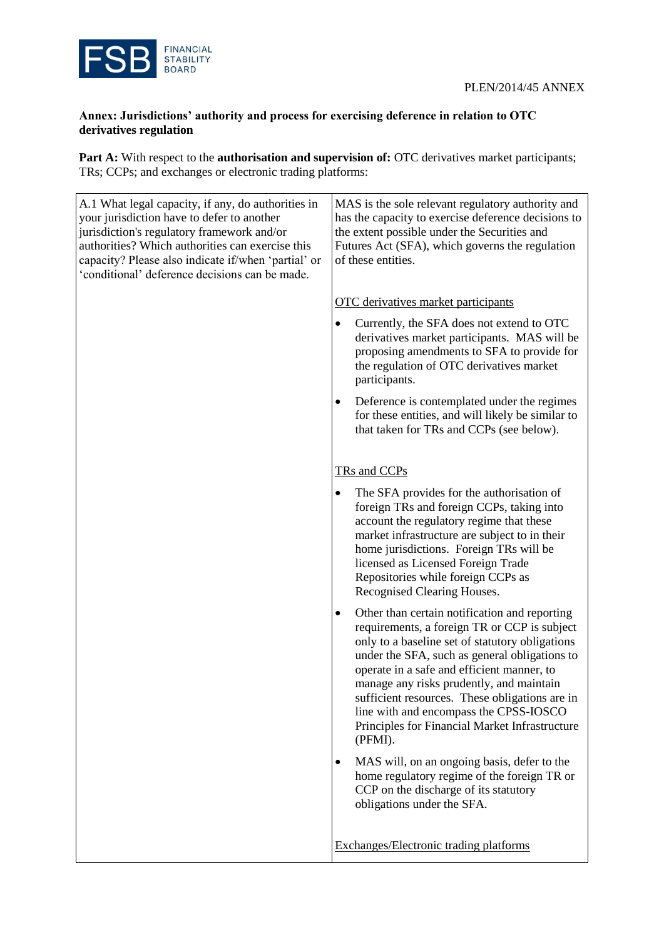

## **Annex: Jurisdictions' authority and process for exercising deference in relation to OTC derivatives regulation**

Part A: With respect to the **authorisation and supervision of:** OTC derivatives market participants; TRs; CCPs; and exchanges or electronic trading platforms:

| A.1 What legal capacity, if any, do authorities in<br>your jurisdiction have to defer to another<br>jurisdiction's regulatory framework and/or<br>authorities? Which authorities can exercise this<br>capacity? Please also indicate if/when 'partial' or<br>'conditional' deference decisions can be made. | MAS is the sole relevant regulatory authority and<br>has the capacity to exercise deference decisions to<br>the extent possible under the Securities and<br>Futures Act (SFA), which governs the regulation<br>of these entities.                                                                                                                                                                                                                         |
|-------------------------------------------------------------------------------------------------------------------------------------------------------------------------------------------------------------------------------------------------------------------------------------------------------------|-----------------------------------------------------------------------------------------------------------------------------------------------------------------------------------------------------------------------------------------------------------------------------------------------------------------------------------------------------------------------------------------------------------------------------------------------------------|
|                                                                                                                                                                                                                                                                                                             | <b>OTC</b> derivatives market participants                                                                                                                                                                                                                                                                                                                                                                                                                |
|                                                                                                                                                                                                                                                                                                             | Currently, the SFA does not extend to OTC<br>٠<br>derivatives market participants. MAS will be<br>proposing amendments to SFA to provide for<br>the regulation of OTC derivatives market<br>participants.                                                                                                                                                                                                                                                 |
|                                                                                                                                                                                                                                                                                                             | Deference is contemplated under the regimes<br>٠<br>for these entities, and will likely be similar to<br>that taken for TRs and CCPs (see below).                                                                                                                                                                                                                                                                                                         |
|                                                                                                                                                                                                                                                                                                             | TRs and CCPs                                                                                                                                                                                                                                                                                                                                                                                                                                              |
|                                                                                                                                                                                                                                                                                                             | The SFA provides for the authorisation of<br>$\bullet$<br>foreign TRs and foreign CCPs, taking into<br>account the regulatory regime that these<br>market infrastructure are subject to in their<br>home jurisdictions. Foreign TRs will be<br>licensed as Licensed Foreign Trade<br>Repositories while foreign CCPs as<br>Recognised Clearing Houses.                                                                                                    |
|                                                                                                                                                                                                                                                                                                             | Other than certain notification and reporting<br>٠<br>requirements, a foreign TR or CCP is subject<br>only to a baseline set of statutory obligations<br>under the SFA, such as general obligations to<br>operate in a safe and efficient manner, to<br>manage any risks prudently, and maintain<br>sufficient resources. These obligations are in<br>line with and encompass the CPSS-IOSCO<br>Principles for Financial Market Infrastructure<br>(PFMI). |
|                                                                                                                                                                                                                                                                                                             | MAS will, on an ongoing basis, defer to the<br>$\bullet$<br>home regulatory regime of the foreign TR or<br>CCP on the discharge of its statutory<br>obligations under the SFA.                                                                                                                                                                                                                                                                            |
|                                                                                                                                                                                                                                                                                                             | Exchanges/Electronic trading platforms                                                                                                                                                                                                                                                                                                                                                                                                                    |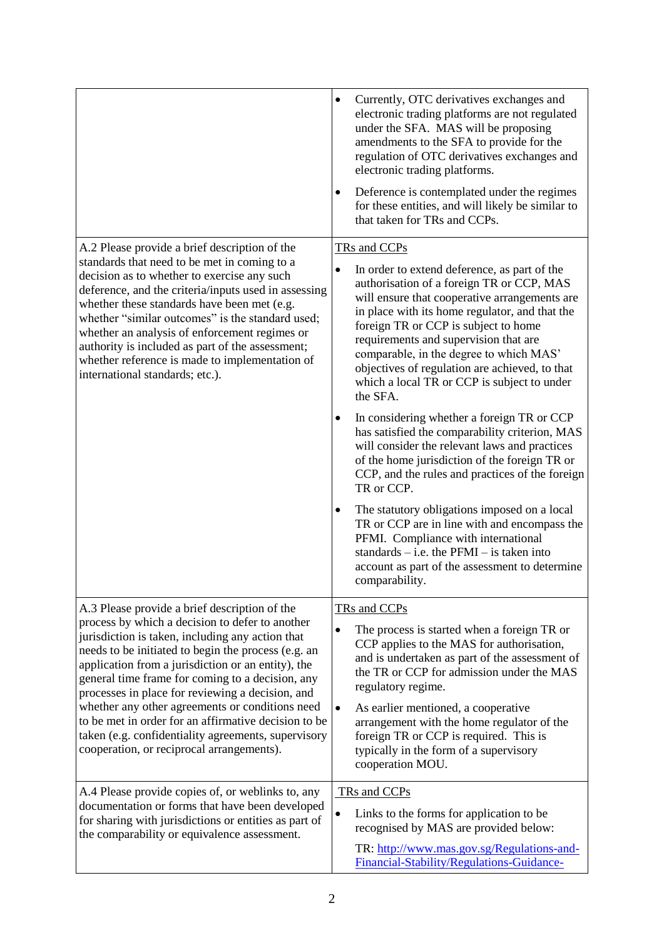|                                                                                                                                                                                                                                                                                                                                                                                                                                                                                                                                         | Currently, OTC derivatives exchanges and<br>٠<br>electronic trading platforms are not regulated<br>under the SFA. MAS will be proposing<br>amendments to the SFA to provide for the<br>regulation of OTC derivatives exchanges and<br>electronic trading platforms.<br>Deference is contemplated under the regimes<br>٠<br>for these entities, and will likely be similar to<br>that taken for TRs and CCPs.                                       |
|-----------------------------------------------------------------------------------------------------------------------------------------------------------------------------------------------------------------------------------------------------------------------------------------------------------------------------------------------------------------------------------------------------------------------------------------------------------------------------------------------------------------------------------------|----------------------------------------------------------------------------------------------------------------------------------------------------------------------------------------------------------------------------------------------------------------------------------------------------------------------------------------------------------------------------------------------------------------------------------------------------|
| A.2 Please provide a brief description of the<br>standards that need to be met in coming to a<br>decision as to whether to exercise any such<br>deference, and the criteria/inputs used in assessing<br>whether these standards have been met (e.g.<br>whether "similar outcomes" is the standard used;<br>whether an analysis of enforcement regimes or<br>authority is included as part of the assessment;<br>whether reference is made to implementation of<br>international standards; etc.).                                       | TRs and CCPs                                                                                                                                                                                                                                                                                                                                                                                                                                       |
|                                                                                                                                                                                                                                                                                                                                                                                                                                                                                                                                         | In order to extend deference, as part of the<br>$\bullet$<br>authorisation of a foreign TR or CCP, MAS<br>will ensure that cooperative arrangements are<br>in place with its home regulator, and that the<br>foreign TR or CCP is subject to home<br>requirements and supervision that are<br>comparable, in the degree to which MAS'<br>objectives of regulation are achieved, to that<br>which a local TR or CCP is subject to under<br>the SFA. |
|                                                                                                                                                                                                                                                                                                                                                                                                                                                                                                                                         | In considering whether a foreign TR or CCP<br>٠<br>has satisfied the comparability criterion, MAS<br>will consider the relevant laws and practices<br>of the home jurisdiction of the foreign TR or<br>CCP, and the rules and practices of the foreign<br>TR or CCP.                                                                                                                                                                               |
|                                                                                                                                                                                                                                                                                                                                                                                                                                                                                                                                         | The statutory obligations imposed on a local<br>٠<br>TR or CCP are in line with and encompass the<br>PFMI. Compliance with international<br>standards $-$ i.e. the PFMI $-$ is taken into<br>account as part of the assessment to determine<br>comparability.                                                                                                                                                                                      |
| A.3 Please provide a brief description of the                                                                                                                                                                                                                                                                                                                                                                                                                                                                                           | TRs and CCPs                                                                                                                                                                                                                                                                                                                                                                                                                                       |
| process by which a decision to defer to another<br>jurisdiction is taken, including any action that<br>needs to be initiated to begin the process (e.g. an<br>application from a jurisdiction or an entity), the<br>general time frame for coming to a decision, any<br>processes in place for reviewing a decision, and<br>whether any other agreements or conditions need<br>to be met in order for an affirmative decision to be<br>taken (e.g. confidentiality agreements, supervisory<br>cooperation, or reciprocal arrangements). | The process is started when a foreign TR or<br>$\bullet$<br>CCP applies to the MAS for authorisation,<br>and is undertaken as part of the assessment of<br>the TR or CCP for admission under the MAS<br>regulatory regime.<br>As earlier mentioned, a cooperative<br>$\bullet$<br>arrangement with the home regulator of the                                                                                                                       |
|                                                                                                                                                                                                                                                                                                                                                                                                                                                                                                                                         | foreign TR or CCP is required. This is<br>typically in the form of a supervisory<br>cooperation MOU.                                                                                                                                                                                                                                                                                                                                               |
| A.4 Please provide copies of, or weblinks to, any<br>documentation or forms that have been developed                                                                                                                                                                                                                                                                                                                                                                                                                                    | TRs and CCPs                                                                                                                                                                                                                                                                                                                                                                                                                                       |
| for sharing with jurisdictions or entities as part of<br>the comparability or equivalence assessment.                                                                                                                                                                                                                                                                                                                                                                                                                                   | $\bullet$<br>Links to the forms for application to be<br>recognised by MAS are provided below:<br>TR: http://www.mas.gov.sg/Regulations-and-                                                                                                                                                                                                                                                                                                       |
|                                                                                                                                                                                                                                                                                                                                                                                                                                                                                                                                         | Financial-Stability/Regulations-Guidance-                                                                                                                                                                                                                                                                                                                                                                                                          |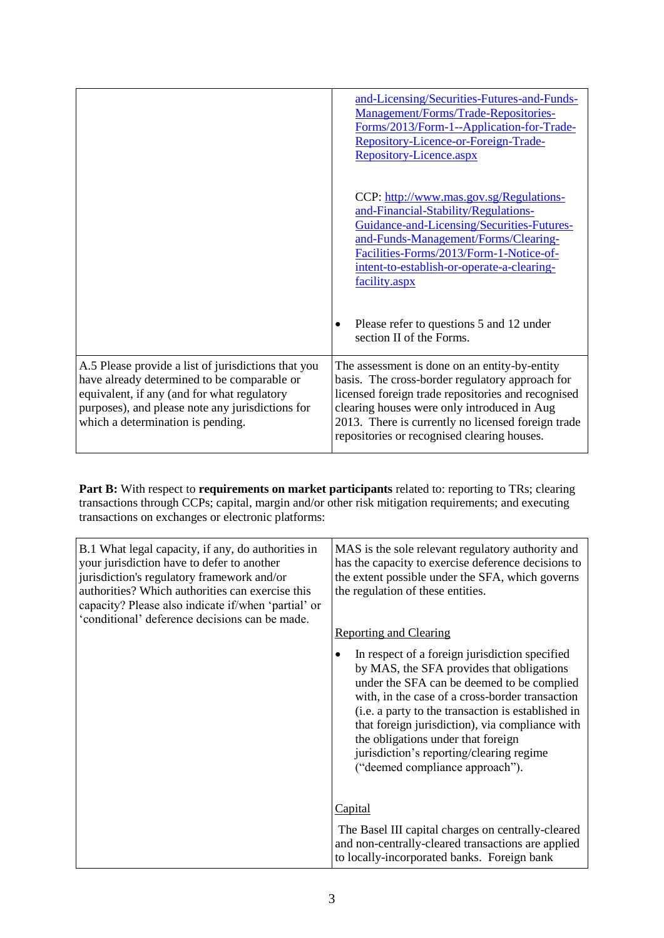|                                                                                                                                                                                                                                            | and-Licensing/Securities-Futures-and-Funds-<br>Management/Forms/Trade-Repositories-<br>Forms/2013/Form-1--Application-for-Trade-<br>Repository-Licence-or-Foreign-Trade-<br>Repository-Licence.aspx                                                                                                        |
|--------------------------------------------------------------------------------------------------------------------------------------------------------------------------------------------------------------------------------------------|------------------------------------------------------------------------------------------------------------------------------------------------------------------------------------------------------------------------------------------------------------------------------------------------------------|
|                                                                                                                                                                                                                                            | CCP: http://www.mas.gov.sg/Regulations-<br>and-Financial-Stability/Regulations-<br>Guidance-and-Licensing/Securities-Futures-<br>and-Funds-Management/Forms/Clearing-<br>Facilities-Forms/2013/Form-1-Notice-of-<br>intent-to-establish-or-operate-a-clearing-<br>facility.aspx                            |
|                                                                                                                                                                                                                                            | Please refer to questions 5 and 12 under<br>$\bullet$<br>section II of the Forms.                                                                                                                                                                                                                          |
| A.5 Please provide a list of jurisdictions that you<br>have already determined to be comparable or<br>equivalent, if any (and for what regulatory<br>purposes), and please note any jurisdictions for<br>which a determination is pending. | The assessment is done on an entity-by-entity<br>basis. The cross-border regulatory approach for<br>licensed foreign trade repositories and recognised<br>clearing houses were only introduced in Aug<br>2013. There is currently no licensed foreign trade<br>repositories or recognised clearing houses. |

**Part B:** With respect to **requirements on market participants** related to: reporting to TRs; clearing transactions through CCPs; capital, margin and/or other risk mitigation requirements; and executing transactions on exchanges or electronic platforms:

| B.1 What legal capacity, if any, do authorities in<br>your jurisdiction have to defer to another<br>jurisdiction's regulatory framework and/or<br>authorities? Which authorities can exercise this<br>capacity? Please also indicate if/when 'partial' or<br>'conditional' deference decisions can be made. | MAS is the sole relevant regulatory authority and<br>has the capacity to exercise deference decisions to<br>the extent possible under the SFA, which governs<br>the regulation of these entities.<br><b>Reporting and Clearing</b><br>In respect of a foreign jurisdiction specified<br>by MAS, the SFA provides that obligations<br>under the SFA can be deemed to be complied<br>with, in the case of a cross-border transaction<br>(i.e. a party to the transaction is established in<br>that foreign jurisdiction), via compliance with<br>the obligations under that foreign<br>jurisdiction's reporting/clearing regime<br>("deemed compliance approach"). |
|-------------------------------------------------------------------------------------------------------------------------------------------------------------------------------------------------------------------------------------------------------------------------------------------------------------|------------------------------------------------------------------------------------------------------------------------------------------------------------------------------------------------------------------------------------------------------------------------------------------------------------------------------------------------------------------------------------------------------------------------------------------------------------------------------------------------------------------------------------------------------------------------------------------------------------------------------------------------------------------|
|                                                                                                                                                                                                                                                                                                             | Capital<br>The Basel III capital charges on centrally-cleared<br>and non-centrally-cleared transactions are applied<br>to locally-incorporated banks. Foreign bank                                                                                                                                                                                                                                                                                                                                                                                                                                                                                               |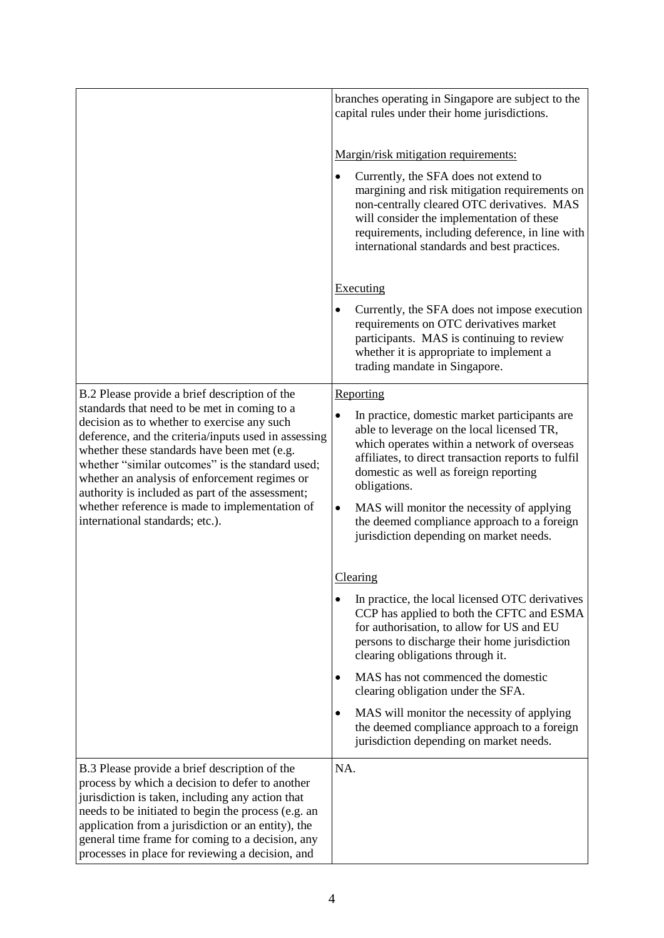|                                                                                                                                                                                                                                                                                                                                                                                                                                                  | branches operating in Singapore are subject to the<br>capital rules under their home jurisdictions.                                                                                                                                                                                 |
|--------------------------------------------------------------------------------------------------------------------------------------------------------------------------------------------------------------------------------------------------------------------------------------------------------------------------------------------------------------------------------------------------------------------------------------------------|-------------------------------------------------------------------------------------------------------------------------------------------------------------------------------------------------------------------------------------------------------------------------------------|
|                                                                                                                                                                                                                                                                                                                                                                                                                                                  | Margin/risk mitigation requirements:                                                                                                                                                                                                                                                |
|                                                                                                                                                                                                                                                                                                                                                                                                                                                  | Currently, the SFA does not extend to<br>margining and risk mitigation requirements on<br>non-centrally cleared OTC derivatives. MAS<br>will consider the implementation of these<br>requirements, including deference, in line with<br>international standards and best practices. |
|                                                                                                                                                                                                                                                                                                                                                                                                                                                  | <b>Executing</b>                                                                                                                                                                                                                                                                    |
|                                                                                                                                                                                                                                                                                                                                                                                                                                                  | Currently, the SFA does not impose execution                                                                                                                                                                                                                                        |
|                                                                                                                                                                                                                                                                                                                                                                                                                                                  | requirements on OTC derivatives market<br>participants. MAS is continuing to review<br>whether it is appropriate to implement a<br>trading mandate in Singapore.                                                                                                                    |
| B.2 Please provide a brief description of the                                                                                                                                                                                                                                                                                                                                                                                                    | Reporting                                                                                                                                                                                                                                                                           |
| standards that need to be met in coming to a<br>decision as to whether to exercise any such<br>deference, and the criteria/inputs used in assessing<br>whether these standards have been met (e.g.<br>whether "similar outcomes" is the standard used;<br>whether an analysis of enforcement regimes or<br>authority is included as part of the assessment;<br>whether reference is made to implementation of<br>international standards; etc.). | In practice, domestic market participants are<br>٠<br>able to leverage on the local licensed TR,<br>which operates within a network of overseas<br>affiliates, to direct transaction reports to fulfil<br>domestic as well as foreign reporting<br>obligations.                     |
|                                                                                                                                                                                                                                                                                                                                                                                                                                                  | MAS will monitor the necessity of applying<br>٠<br>the deemed compliance approach to a foreign<br>jurisdiction depending on market needs.                                                                                                                                           |
|                                                                                                                                                                                                                                                                                                                                                                                                                                                  | Clearing                                                                                                                                                                                                                                                                            |
|                                                                                                                                                                                                                                                                                                                                                                                                                                                  | In practice, the local licensed OTC derivatives<br>CCP has applied to both the CFTC and ESMA<br>for authorisation, to allow for US and EU<br>persons to discharge their home jurisdiction<br>clearing obligations through it.                                                       |
|                                                                                                                                                                                                                                                                                                                                                                                                                                                  | MAS has not commenced the domestic<br>clearing obligation under the SFA.                                                                                                                                                                                                            |
|                                                                                                                                                                                                                                                                                                                                                                                                                                                  | MAS will monitor the necessity of applying<br>the deemed compliance approach to a foreign<br>jurisdiction depending on market needs.                                                                                                                                                |
| B.3 Please provide a brief description of the<br>process by which a decision to defer to another<br>jurisdiction is taken, including any action that<br>needs to be initiated to begin the process (e.g. an<br>application from a jurisdiction or an entity), the<br>general time frame for coming to a decision, any<br>processes in place for reviewing a decision, and                                                                        | NA.                                                                                                                                                                                                                                                                                 |